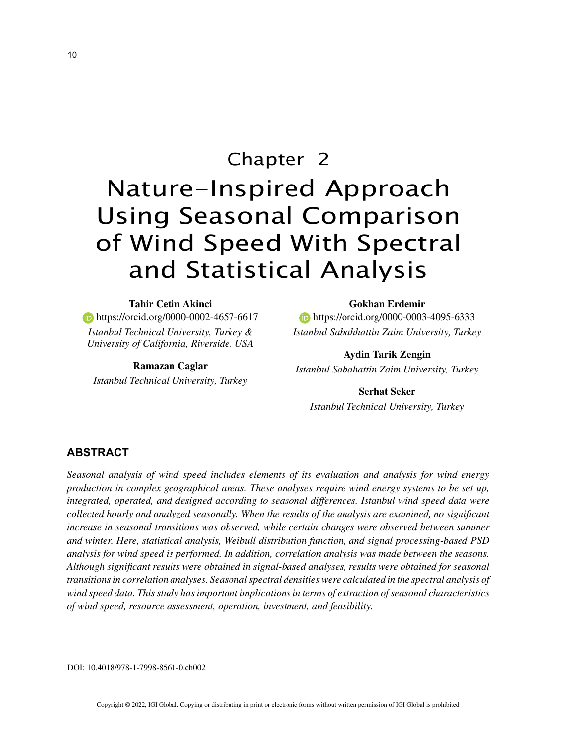# Chapter 2 Nature-Inspired Approach Using Seasonal Comparison of Wind Speed With Spectral and Statistical Analysis

**Tahir Cetin Akinci https://orcid.org/0000-0002-4657-6617** *Istanbul Technical University, Turkey & University of California, Riverside, USA*

**Ramazan Caglar** *Istanbul Technical University, Turkey* **Gokhan Erdemir**

**https://orcid.org/0000-0003-4095-6333** *Istanbul Sabahhattin Zaim University, Turkey*

**Aydin Tarik Zengin** *Istanbul Sabahattin Zaim University, Turkey*

**Serhat Seker** *Istanbul Technical University, Turkey*

#### **ABSTRACT**

*Seasonal analysis of wind speed includes elements of its evaluation and analysis for wind energy production in complex geographical areas. These analyses require wind energy systems to be set up, integrated, operated, and designed according to seasonal differences. Istanbul wind speed data were collected hourly and analyzed seasonally. When the results of the analysis are examined, no significant increase in seasonal transitions was observed, while certain changes were observed between summer and winter. Here, statistical analysis, Weibull distribution function, and signal processing-based PSD analysis for wind speed is performed. In addition, correlation analysis was made between the seasons. Although significant results were obtained in signal-based analyses, results were obtained for seasonal transitions in correlation analyses. Seasonal spectral densities were calculated in the spectral analysis of wind speed data. This study has important implications in terms of extraction of seasonal characteristics of wind speed, resource assessment, operation, investment, and feasibility.*

DOI: 10.4018/978-1-7998-8561-0.ch002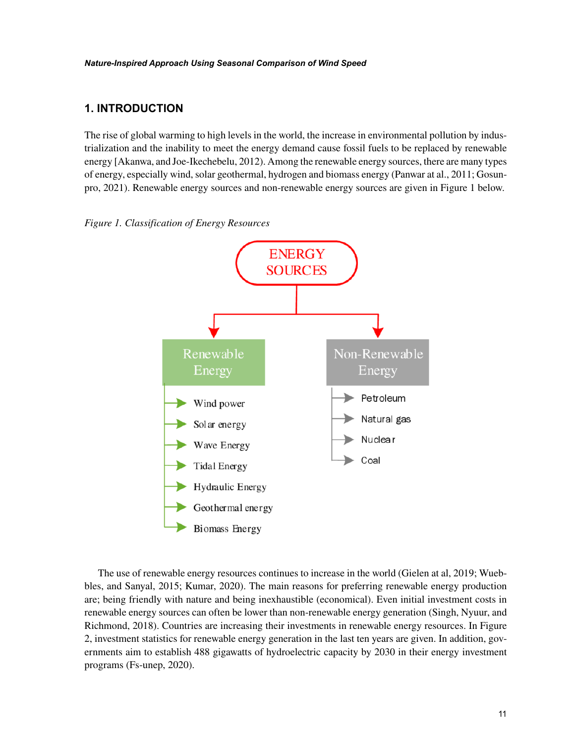## **1. INTRODUCTION**

The rise of global warming to high levels in the world, the increase in environmental pollution by industrialization and the inability to meet the energy demand cause fossil fuels to be replaced by renewable energy [Akanwa, and Joe-Ikechebelu, 2012). Among the renewable energy sources, there are many types of energy, especially wind, solar geothermal, hydrogen and biomass energy (Panwar at al., 2011; Gosunpro, 2021). Renewable energy sources and non-renewable energy sources are given in Figure 1 below.





The use of renewable energy resources continues to increase in the world (Gielen at al, 2019; Wuebbles, and Sanyal, 2015; Kumar, 2020). The main reasons for preferring renewable energy production are; being friendly with nature and being inexhaustible (economical). Even initial investment costs in renewable energy sources can often be lower than non-renewable energy generation (Singh, Nyuur, and Richmond, 2018). Countries are increasing their investments in renewable energy resources. In Figure 2, investment statistics for renewable energy generation in the last ten years are given. In addition, governments aim to establish 488 gigawatts of hydroelectric capacity by 2030 in their energy investment programs (Fs-unep, 2020).